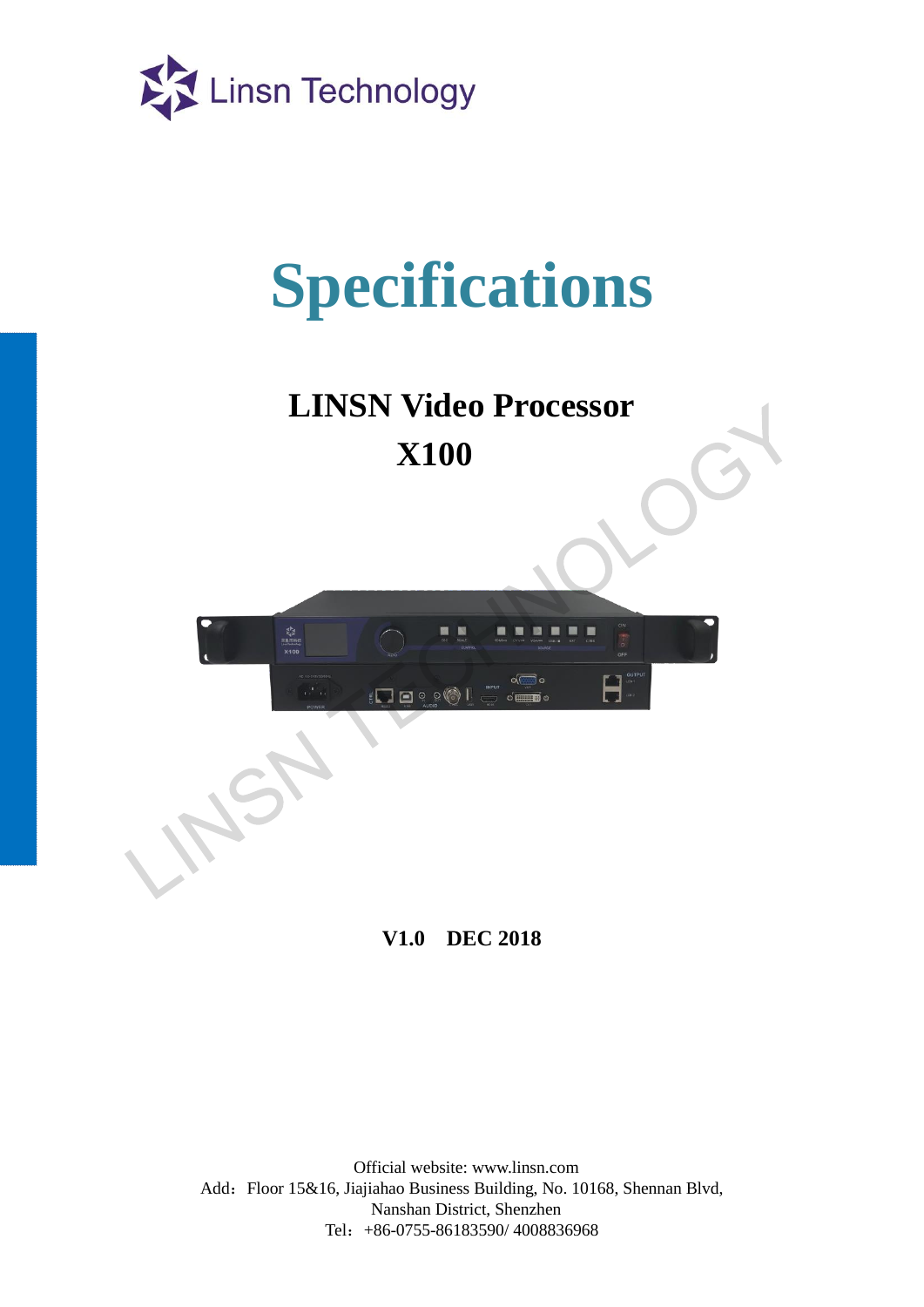

# **Specifications**

**LINSN Video Processor X100**



**V1.0 DEC 2018**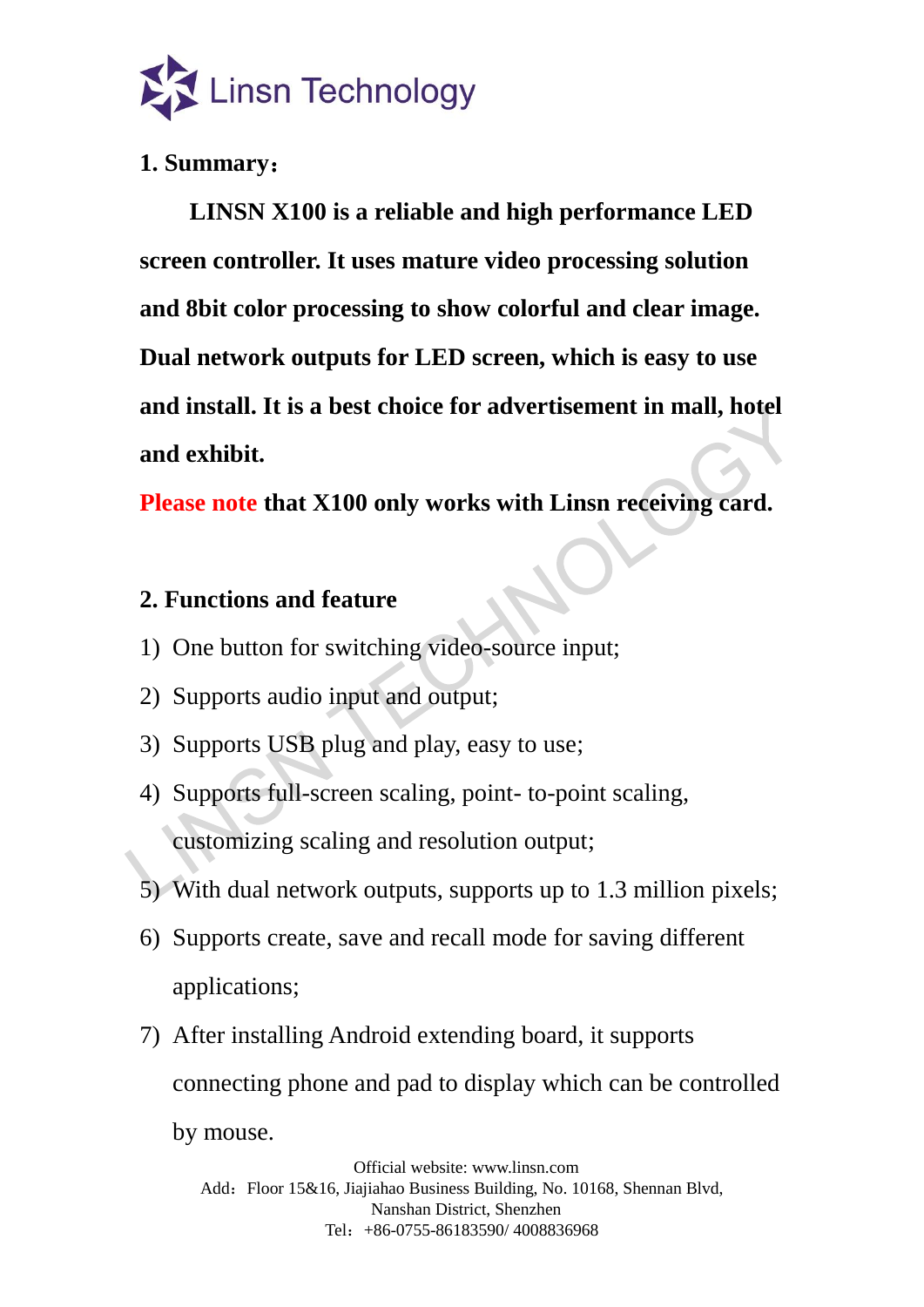

### **1. Summary**:

**LINSN X100 is a reliable and high performance LED screen controller. It uses mature video processing solution and 8bit color processing to show colorful and clear image. Dual network outputs for LED screen, which is easy to use and install. It is a best choice for advertisement in mall, hotel and exhibit.**

**Please note that X100 only works with Linsn receiving card.**

#### **2. Functions and feature**

- 1) One button for switching video-source input;
- 2) Supports audio input and output;
- 3) Supports USB plug and play, easy to use;
- 4) Supports full-screen scaling, point- to-point scaling, customizing scaling and resolution output; and install. It is a best choice for advertisement in mall, note<br>and exhibit.<br>Please note that X100 only works with Linsn receiving card.<br>2. Functions and feature<br>1) One button for switching video-source input;<br>2) Supports
	- 5) With dual network outputs, supports up to 1.3 million pixels;
	- 6) Supports create, save and recall mode for saving different applications;
	- 7) After installing Android extending board, it supports connecting phone and pad to display which can be controlled by mouse.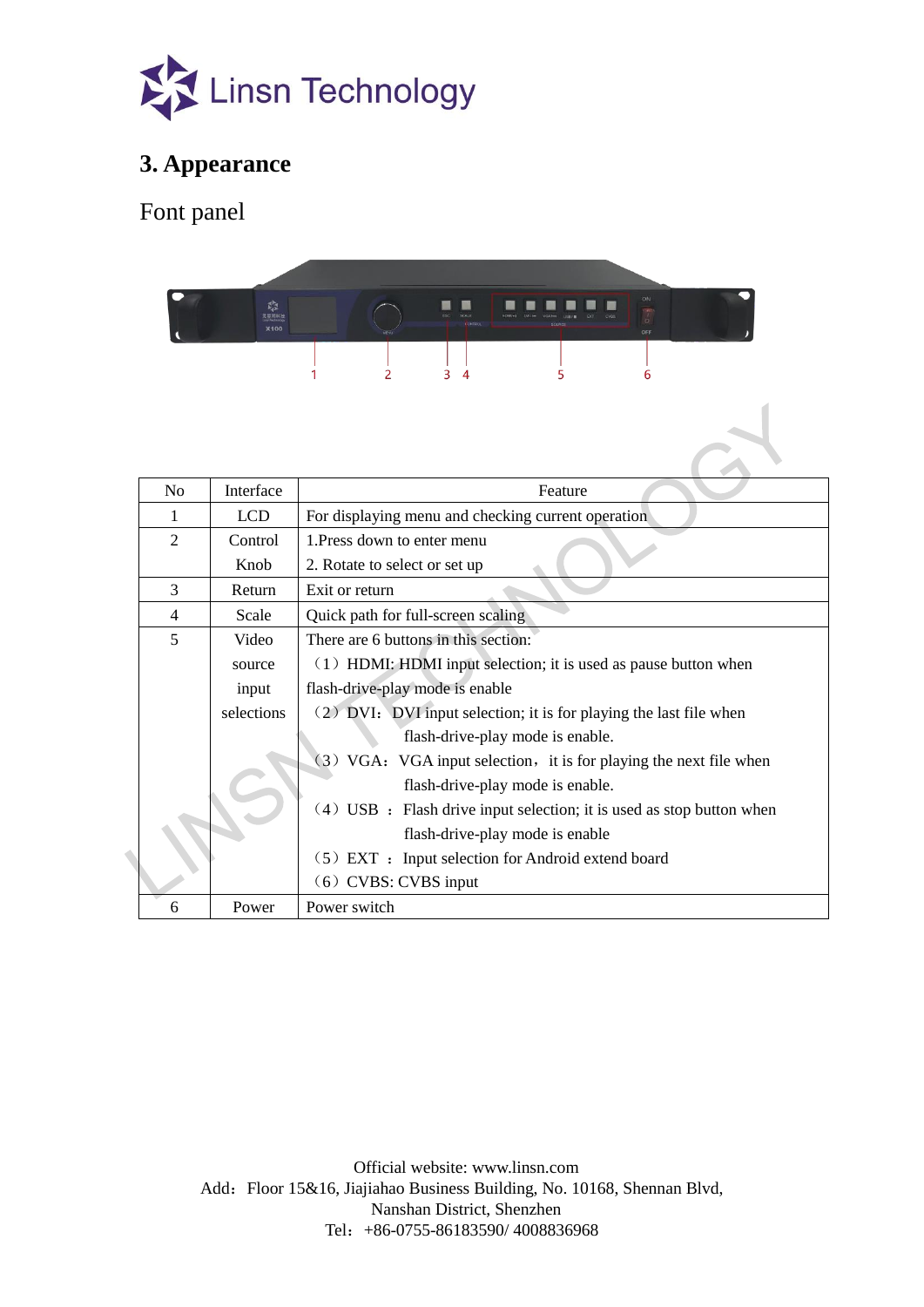

### **3. Appearance**

Font panel



| No             | Interface  | Feature                                                               |  |
|----------------|------------|-----------------------------------------------------------------------|--|
| 1              | <b>LCD</b> | For displaying menu and checking current operation                    |  |
| 2              | Control    | 1. Press down to enter menu                                           |  |
|                | Knob       | 2. Rotate to select or set up                                         |  |
| $\overline{3}$ | Return     | Exit or return                                                        |  |
| $\overline{4}$ | Scale      | Quick path for full-screen scaling                                    |  |
| 5              | Video      | There are 6 buttons in this section:                                  |  |
|                | source     | $(1)$ HDMI: HDMI input selection; it is used as pause button when     |  |
|                | input      | flash-drive-play mode is enable                                       |  |
|                | selections | (2) DVI: DVI input selection; it is for playing the last file when    |  |
|                |            | flash-drive-play mode is enable.                                      |  |
|                |            | (3) VGA: VGA input selection, it is for playing the next file when    |  |
|                |            | flash-drive-play mode is enable.                                      |  |
|                |            | (4) USB : Flash drive input selection; it is used as stop button when |  |
|                |            | flash-drive-play mode is enable                                       |  |
|                |            | $(5)$ EXT : Input selection for Android extend board                  |  |
|                |            | $(6)$ CVBS: CVBS input                                                |  |
| 6              | Power      | Power switch                                                          |  |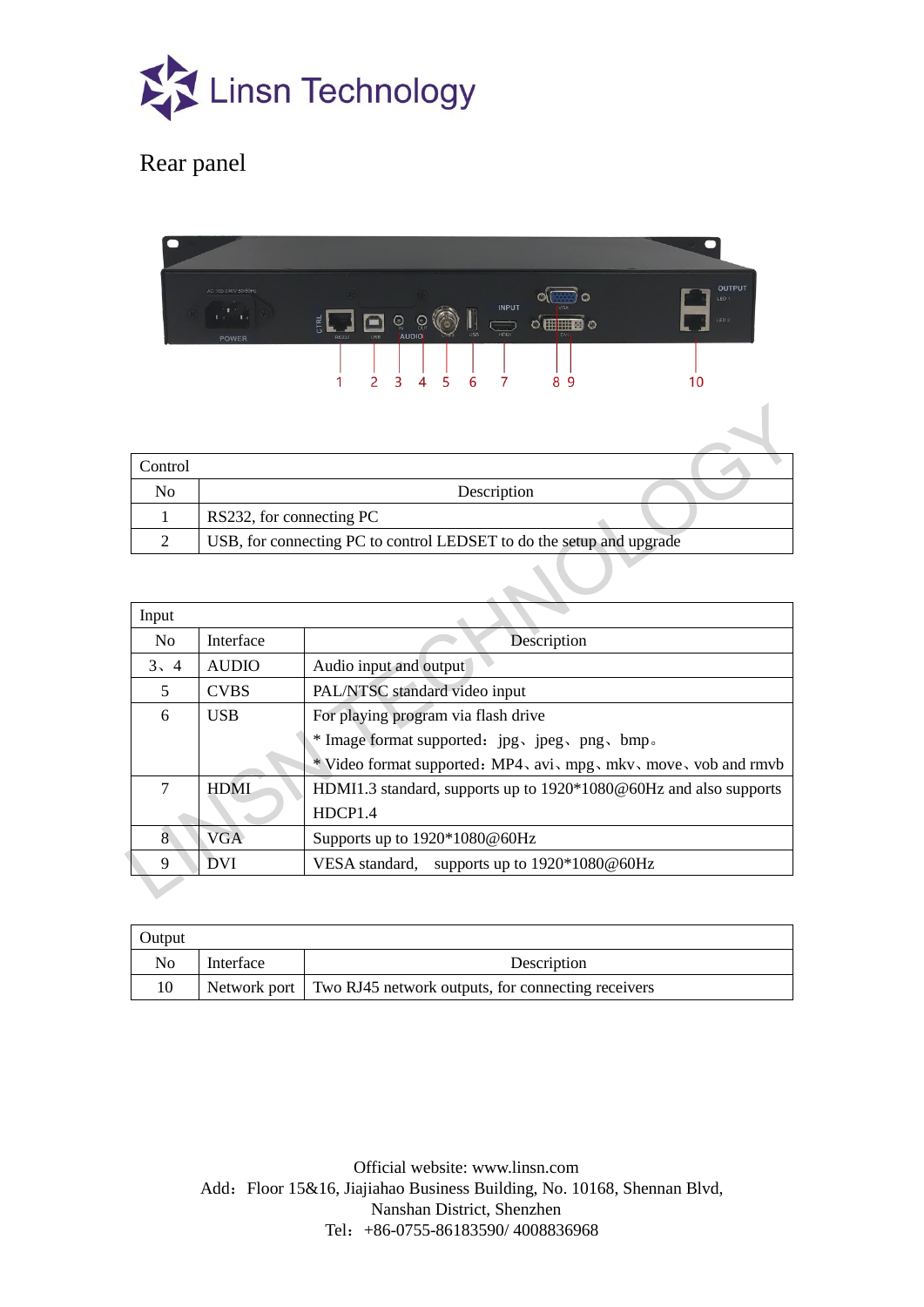

## Rear panel

|                | AC 100-240V 50/60Hz                                                                                                                                                                                                                                      | <b>OUTPUT</b>                              |
|----------------|----------------------------------------------------------------------------------------------------------------------------------------------------------------------------------------------------------------------------------------------------------|--------------------------------------------|
|                | <b>INPUT</b><br>VGA<br>$\mathbf{T}$ .<br>$-14$<br><b>Earth</b><br>$\bigodot$<br>CTRL<br><b>HHHS</b><br>OU<br><b>USB</b><br>HDM<br><b>AUDIO</b><br><b>DVI</b><br><b>USB</b><br><b>RS232</b><br>POWER<br>5<br>3<br>6<br>$\overline{4}$<br>2<br>7<br>8<br>9 | LED <sub>1</sub><br>LED <sub>2</sub><br>10 |
|                |                                                                                                                                                                                                                                                          |                                            |
| Control        |                                                                                                                                                                                                                                                          |                                            |
| N <sub>o</sub> | Description                                                                                                                                                                                                                                              |                                            |
| 1              | RS232, for connecting PC                                                                                                                                                                                                                                 |                                            |
| 2              | USB, for connecting PC to control LEDSET to do the setup and upgrade                                                                                                                                                                                     |                                            |
|                |                                                                                                                                                                                                                                                          |                                            |

| Control        |                                                                      |                                                                   |  |  |
|----------------|----------------------------------------------------------------------|-------------------------------------------------------------------|--|--|
| No             | Description                                                          |                                                                   |  |  |
| 1              | RS232, for connecting PC                                             |                                                                   |  |  |
| $\overline{2}$ | USB, for connecting PC to control LEDSET to do the setup and upgrade |                                                                   |  |  |
|                |                                                                      |                                                                   |  |  |
| Input          |                                                                      |                                                                   |  |  |
| N <sub>o</sub> | Interface                                                            | Description                                                       |  |  |
| 3, 4           | <b>AUDIO</b>                                                         | Audio input and output                                            |  |  |
| 5              | <b>CVBS</b>                                                          | PAL/NTSC standard video input                                     |  |  |
| 6              | <b>USB</b>                                                           | For playing program via flash drive                               |  |  |
|                |                                                                      | * Image format supported: jpg、jpeg、png、bmp。                       |  |  |
|                |                                                                      | * Video format supported: MP4, avi, mpg, mkv, move, vob and rmvb  |  |  |
| 7              | <b>HDMI</b>                                                          | HDMI1.3 standard, supports up to 1920*1080@60Hz and also supports |  |  |
|                |                                                                      | HDCP1.4                                                           |  |  |
| $\overline{8}$ | <b>VGA</b>                                                           | Supports up to 1920*1080@60Hz                                     |  |  |
| 9              | <b>DVI</b>                                                           | VESA standard, supports up to 1920*1080@60Hz                      |  |  |
|                |                                                                      |                                                                   |  |  |

| Output |           |                                                                   |
|--------|-----------|-------------------------------------------------------------------|
| No     | Interface | Description                                                       |
|        |           | Network port   Two RJ45 network outputs, for connecting receivers |